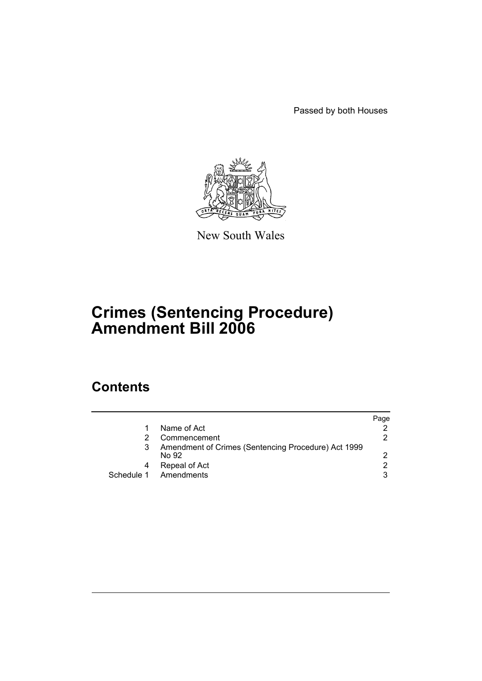Passed by both Houses



New South Wales

# **Crimes (Sentencing Procedure) Amendment Bill 2006**

## **Contents**

|   |                                                              | Paqe |
|---|--------------------------------------------------------------|------|
|   | Name of Act                                                  |      |
|   | Commencement                                                 | 2.   |
| 3 | Amendment of Crimes (Sentencing Procedure) Act 1999<br>No 92 | 2    |
| 4 | Repeal of Act                                                | 2    |
|   | Schedule 1 Amendments                                        | 3    |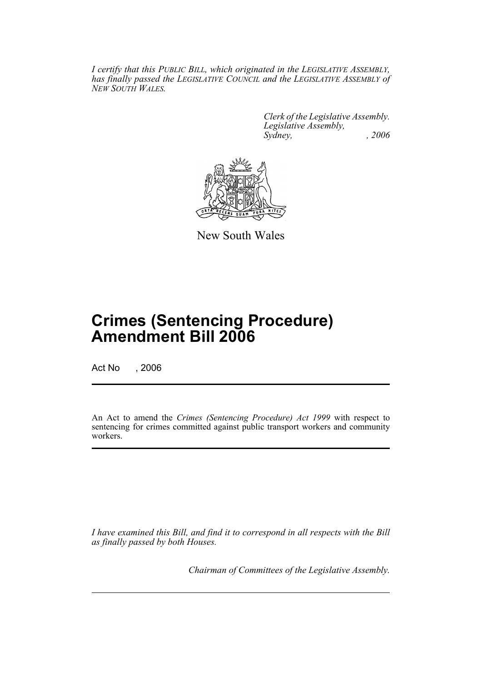*I certify that this PUBLIC BILL, which originated in the LEGISLATIVE ASSEMBLY, has finally passed the LEGISLATIVE COUNCIL and the LEGISLATIVE ASSEMBLY of NEW SOUTH WALES.*

> *Clerk of the Legislative Assembly. Legislative Assembly, Sydney, , 2006*



New South Wales

# **Crimes (Sentencing Procedure) Amendment Bill 2006**

Act No , 2006

An Act to amend the *Crimes (Sentencing Procedure) Act 1999* with respect to sentencing for crimes committed against public transport workers and community workers.

*I have examined this Bill, and find it to correspond in all respects with the Bill as finally passed by both Houses.*

*Chairman of Committees of the Legislative Assembly.*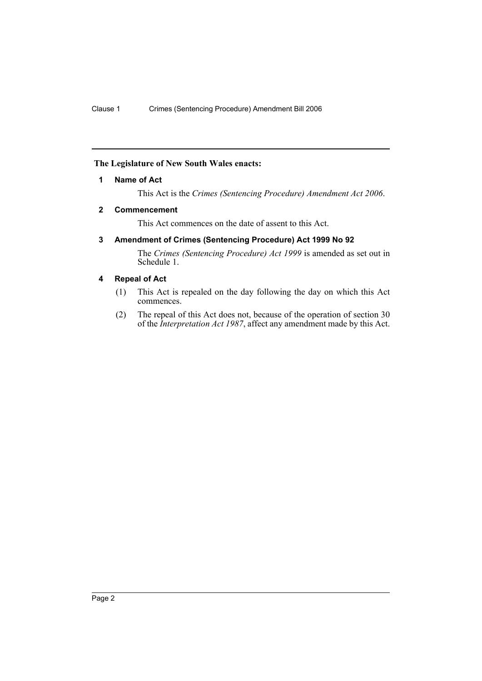## **The Legislature of New South Wales enacts:**

### **1 Name of Act**

This Act is the *Crimes (Sentencing Procedure) Amendment Act 2006*.

#### **2 Commencement**

This Act commences on the date of assent to this Act.

## **3 Amendment of Crimes (Sentencing Procedure) Act 1999 No 92**

The *Crimes (Sentencing Procedure) Act 1999* is amended as set out in Schedule 1.

### **4 Repeal of Act**

- (1) This Act is repealed on the day following the day on which this Act commences.
- (2) The repeal of this Act does not, because of the operation of section 30 of the *Interpretation Act 1987*, affect any amendment made by this Act.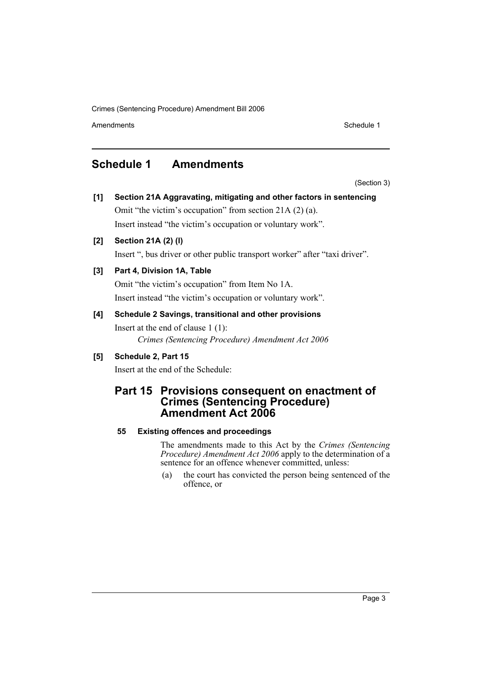Crimes (Sentencing Procedure) Amendment Bill 2006

Amendments **Schedule 1** and the set of the set of the set of the set of the set of the set of the set of the set of the set of the set of the set of the set of the set of the set of the set of the set of the set of the set

## **Schedule 1 Amendments**

(Section 3)

**[1] Section 21A Aggravating, mitigating and other factors in sentencing** Omit "the victim's occupation" from section 21A (2) (a). Insert instead "the victim's occupation or voluntary work".

## **[2] Section 21A (2) (l)**

Insert ", bus driver or other public transport worker" after "taxi driver".

## **[3] Part 4, Division 1A, Table**

Omit "the victim's occupation" from Item No 1A. Insert instead "the victim's occupation or voluntary work".

## **[4] Schedule 2 Savings, transitional and other provisions**

Insert at the end of clause 1 (1): *Crimes (Sentencing Procedure) Amendment Act 2006*

## **[5] Schedule 2, Part 15**

Insert at the end of the Schedule:

## **Part 15 Provisions consequent on enactment of Crimes (Sentencing Procedure) Amendment Act 2006**

## **55 Existing offences and proceedings**

The amendments made to this Act by the *Crimes (Sentencing Procedure) Amendment Act 2006* apply to the determination of a sentence for an offence whenever committed, unless:

(a) the court has convicted the person being sentenced of the offence, or